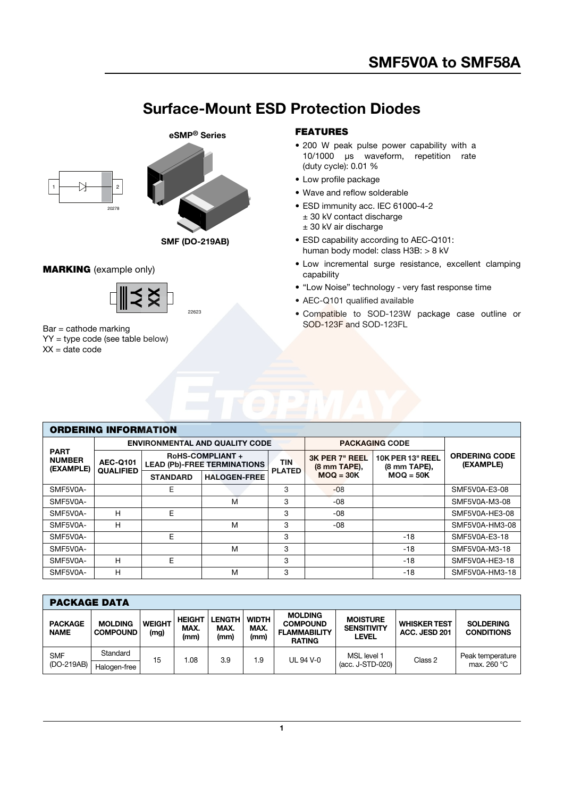## **Surface-Mount ESD Protection Diodes**



#### **MARKING** (example only)



Bar = cathode marking YY = type code (see table below)  $XX =$  date code

#### **FEATURES**

- 200 W peak pulse power capability with a 10/1000 μs waveform, repetition rate (duty cycle): 0.01 %
- Low profile package
- Wave and reflow solderable
- ESD immunity acc. IEC 61000-4-2
- ± 30 kV contact discharge ± 30 kV air discharge
- ESD capability according to AEC-Q101: human body model: class H3B: > 8 kV
- Low incremental surge resistance, excellent clamping capability
- "Low Noise" technology very fast response time
- AEC-Q101 qualified available
- Compatible to SOD-123W package case outline or SOD-123F and SOD-123FL

| <b>ORDERING INFORMATION</b>               |                                     |                 |                                                              |               |                                |                                         |                                   |  |  |
|-------------------------------------------|-------------------------------------|-----------------|--------------------------------------------------------------|---------------|--------------------------------|-----------------------------------------|-----------------------------------|--|--|
| <b>PART</b><br><b>NUMBER</b><br>(EXAMPLE) |                                     |                 | <b>ENVIRONMENTAL AND QUALITY CODE</b>                        |               | <b>PACKAGING CODE</b>          |                                         |                                   |  |  |
|                                           | <b>AEC-Q101</b><br><b>QUALIFIED</b> |                 | <b>RoHS-COMPLIANT+</b><br><b>LEAD (Pb)-FREE TERMINATIONS</b> | <b>TIN</b>    | 3K PER 7" REEL<br>(8 mm TAPE), | <b>10K PER 13" REEL</b><br>(8 mm TAPE), | <b>ORDERING CODE</b><br>(EXAMPLE) |  |  |
|                                           |                                     | <b>STANDARD</b> | <b>HALOGEN-FREE</b>                                          | <b>PLATED</b> | $MOQ = 30K$                    | $MOQ = 50K$                             |                                   |  |  |
| SMF5V0A-                                  |                                     | E               |                                                              | 3             | $-08$                          |                                         | SMF5V0A-E3-08                     |  |  |
| SMF5V0A-                                  |                                     |                 | M                                                            | 3             | -08                            |                                         | SMF5V0A-M3-08                     |  |  |
| SMF5V0A-                                  | н                                   | E               |                                                              | 3             | $-08$                          |                                         | SMF5V0A-HE3-08                    |  |  |
| SMF5V0A-                                  | н                                   |                 | M                                                            | 3             | -08                            |                                         | SMF5V0A-HM3-08                    |  |  |
| SMF5V0A-                                  |                                     | E               |                                                              | 3             |                                | $-18$                                   | SMF5V0A-E3-18                     |  |  |
| SMF5V0A-                                  |                                     |                 | M                                                            | 3             |                                | $-18$                                   | SMF5V0A-M3-18                     |  |  |
| SMF5V0A-                                  | н                                   | E               |                                                              | 3             |                                | $-18$                                   | SMF5V0A-HE3-18                    |  |  |
| SMF5V0A-                                  | н                                   |                 | M                                                            | 3             |                                | $-18$                                   | SMF5V0A-HM3-18                    |  |  |

| <b>PACKAGE DATA</b>           |                                   |                       |                               |                               |                              |                                                                           |                                                       |                                                                               |                  |  |
|-------------------------------|-----------------------------------|-----------------------|-------------------------------|-------------------------------|------------------------------|---------------------------------------------------------------------------|-------------------------------------------------------|-------------------------------------------------------------------------------|------------------|--|
| <b>PACKAGE</b><br><b>NAME</b> | <b>MOLDING</b><br><b>COMPOUND</b> | <b>WEIGHT</b><br>(mg) | <b>HEIGHT</b><br>MAX.<br>(mm) | <b>LENGTH</b><br>MAX.<br>(mm) | <b>WIDTH</b><br>MAX.<br>(mm) | <b>MOLDING</b><br><b>COMPOUND</b><br><b>FLAMMABILITY</b><br><b>RATING</b> | <b>MOISTURE</b><br><b>SENSITIVITY</b><br><b>LEVEL</b> | <b>SOLDERING</b><br><b>WHISKER TEST</b><br>ACC. JESD 201<br><b>CONDITIONS</b> |                  |  |
| <b>SMF</b><br>(DO-219AB)      | Standard                          | 15                    | .08                           | 3.9                           | 1.9                          | UL 94 V-0                                                                 | MSL level 1                                           | Class 2                                                                       | Peak temperature |  |
|                               | Halogen-free                      |                       |                               |                               |                              |                                                                           | (acc. J-STD-020)                                      |                                                                               | max. 260 °C      |  |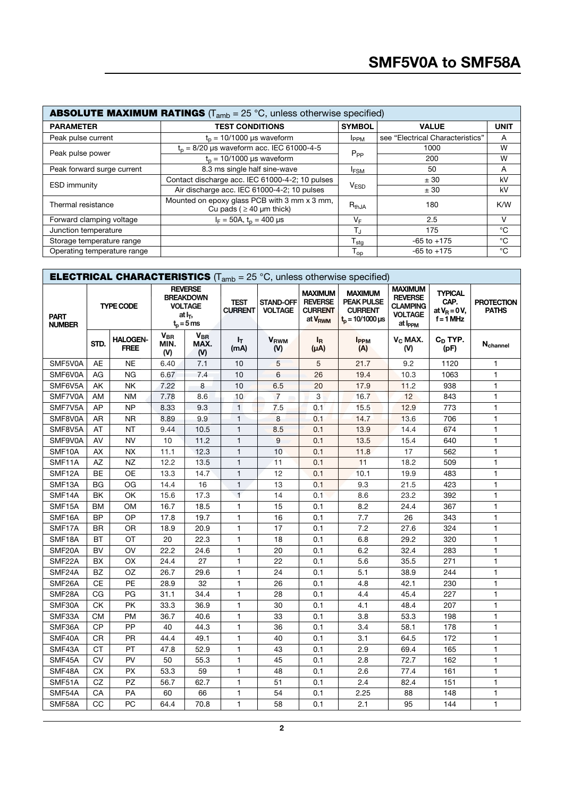| <b>ABSOLUTE MAXIMUM RATINGS</b> ( $T_{amb}$ = 25 °C, unless otherwise specified) |                                                                               |                                                                                           |                                  |             |  |  |  |  |  |
|----------------------------------------------------------------------------------|-------------------------------------------------------------------------------|-------------------------------------------------------------------------------------------|----------------------------------|-------------|--|--|--|--|--|
| <b>PARAMETER</b>                                                                 | <b>TEST CONDITIONS</b>                                                        | <b>SYMBOL</b>                                                                             | <b>VALUE</b>                     | <b>UNIT</b> |  |  |  |  |  |
| Peak pulse current                                                               | $tn = 10/1000$ µs waveform                                                    | <b>IPPM</b>                                                                               | see "Electrical Characteristics" | A           |  |  |  |  |  |
| Peak pulse power                                                                 | $t_0$ = 8/20 µs waveform acc. IEC 61000-4-5                                   |                                                                                           | 1000                             | W           |  |  |  |  |  |
|                                                                                  | $tp$ = 10/1000 µs waveform                                                    | $P_{PP}$<br>W<br>200<br>50<br>A<br><b>IFSM</b><br>kV<br>± 30<br><b>VESD</b><br>kV<br>± 30 |                                  |             |  |  |  |  |  |
| Peak forward surge current                                                       | 8.3 ms single half sine-wave                                                  |                                                                                           |                                  |             |  |  |  |  |  |
| <b>ESD immunity</b>                                                              | Contact discharge acc. IEC 61000-4-2; 10 pulses                               |                                                                                           |                                  |             |  |  |  |  |  |
|                                                                                  | Air discharge acc. IEC 61000-4-2; 10 pulses                                   |                                                                                           |                                  |             |  |  |  |  |  |
| Thermal resistance                                                               | Mounted on epoxy glass PCB with 3 mm x 3 mm,<br>Cu pads ( $\geq$ 40 µm thick) | $R_{thJA}$                                                                                | 180                              | K/W         |  |  |  |  |  |
| Forward clamping voltage                                                         | $I_F = 50A$ , $t_p = 400 \mu s$                                               | V⊧                                                                                        | 2.5                              | v           |  |  |  |  |  |
| Junction temperature                                                             |                                                                               | T,                                                                                        | 175                              | °C          |  |  |  |  |  |
| Storage temperature range                                                        |                                                                               | $\mathsf{T}_{\mathsf{stg}}$                                                               | $-65$ to $+175$                  | °€          |  |  |  |  |  |
| Operating temperature range                                                      |                                                                               | $\mathsf{I}_{\mathsf{op}}$                                                                | $-65$ to $+175$                  | °C          |  |  |  |  |  |

| <b>ELECTRICAL CHARACTERISTICS</b> ( $T_{amb}$ = 25 °C, unless otherwise specified) |                  |                                |                                                                                          |                                |                               |                                    |                                                                           |                                                                                  |                                                                                              |                                                           |                                   |
|------------------------------------------------------------------------------------|------------------|--------------------------------|------------------------------------------------------------------------------------------|--------------------------------|-------------------------------|------------------------------------|---------------------------------------------------------------------------|----------------------------------------------------------------------------------|----------------------------------------------------------------------------------------------|-----------------------------------------------------------|-----------------------------------|
| <b>PART</b><br><b>NUMBER</b>                                                       | <b>TYPE CODE</b> |                                | <b>REVERSE</b><br><b>BREAKDOWN</b><br><b>VOLTAGE</b><br>at I <sub>T</sub><br>$t0 = 5$ ms |                                | <b>TEST</b><br><b>CURRENT</b> | <b>STAND-OFF</b><br><b>VOLTAGE</b> | <b>MAXIMUM</b><br><b>REVERSE</b><br><b>CURRENT</b><br>at V <sub>RWM</sub> | <b>MAXIMUM</b><br><b>PEAK PULSE</b><br><b>CURRENT</b><br>$t_0 = 10/1000 \,\mu s$ | <b>MAXIMUM</b><br><b>REVERSE</b><br><b>CLAMPING</b><br><b>VOLTAGE</b><br>at I <sub>PPM</sub> | <b>TYPICAL</b><br>CAP.<br>at $V_R = 0 V$ ,<br>$f = 1$ MHz | <b>PROTECTION</b><br><b>PATHS</b> |
|                                                                                    | STD.             | <b>HALOGEN-</b><br><b>FREE</b> | <b>V<sub>BR</sub></b><br>MIN.<br>(V)                                                     | $V_{\text{BR}}$<br>MAX.<br>(V) | ŀт<br>(mA)                    | <b>V</b> <sub>RWM</sub><br>(N)     | l <sub>R</sub><br>$(\mu A)$                                               | <b>IPPM</b><br>(A)                                                               | V <sub>C</sub> MAX.<br>(V)                                                                   | $C_D$ TYP.<br>(pF)                                        | Nchannel                          |
| SMF5V0A                                                                            | <b>AE</b>        | <b>NE</b>                      | 6.40                                                                                     | 7.1                            | 10                            | 5                                  | 5                                                                         | 21.7                                                                             | 9.2                                                                                          | 1120                                                      | 1                                 |
| SMF6V0A                                                                            | AG               | <b>NG</b>                      | 6.67                                                                                     | 7.4                            | 10                            | 6                                  | 26                                                                        | 19.4                                                                             | 10.3                                                                                         | 1063                                                      | $\mathbf{1}$                      |
| SMF6V5A                                                                            | AK               | <b>NK</b>                      | 7.22                                                                                     | 8                              | 10                            | 6.5                                | 20                                                                        | 17.9                                                                             | 11.2                                                                                         | 938                                                       | $\mathbf{1}$                      |
| SMF7V0A                                                                            | AM               | <b>NM</b>                      | 7.78                                                                                     | 8.6                            | 10                            | $\overline{7}$                     | 3                                                                         | 16.7                                                                             | 12                                                                                           | 843                                                       | $\mathbf{1}$                      |
| SMF7V5A                                                                            | AP               | <b>NP</b>                      | 8.33                                                                                     | 9.3                            | $\mathbf{1}$                  | 7.5                                | 0.1                                                                       | 15.5                                                                             | 12.9                                                                                         | 773                                                       | $\mathbf{1}$                      |
| SMF8V0A                                                                            | AR               | <b>NR</b>                      | 8.89                                                                                     | 9.9                            | $\mathbf{1}$                  | 8                                  | 0.1                                                                       | 14.7                                                                             | 13.6                                                                                         | 706                                                       | 1                                 |
| SMF8V5A                                                                            | AT               | <b>NT</b>                      | 9.44                                                                                     | 10.5                           | $\mathbf{1}$                  | 8.5                                | 0.1                                                                       | 13.9                                                                             | 14.4                                                                                         | 674                                                       | $\mathbf{1}$                      |
| SMF9V0A                                                                            | AV               | <b>NV</b>                      | 10                                                                                       | 11.2                           | $\mathbf{1}$                  | 9                                  | 0.1                                                                       | 13.5                                                                             | 15.4                                                                                         | 640                                                       | $\mathbf{1}$                      |
| SMF10A                                                                             | <b>AX</b>        | <b>NX</b>                      | 11.1                                                                                     | 12.3                           | $\mathbf{1}$                  | 10                                 | 0.1                                                                       | 11.8                                                                             | 17                                                                                           | 562                                                       | $\mathbf{1}$                      |
| SMF11A                                                                             | AZ               | <b>NZ</b>                      | 12.2                                                                                     | 13.5                           | $\mathbf{1}$                  | 11                                 | 0.1                                                                       | 11                                                                               | 18.2                                                                                         | 509                                                       | $\mathbf{1}$                      |
| SMF12A                                                                             | <b>BE</b>        | <b>OE</b>                      | 13.3                                                                                     | 14.7                           | $\mathbf{1}$                  | 12                                 | 0.1                                                                       | 10.1                                                                             | 19.9                                                                                         | 483                                                       | $\mathbf{1}$                      |
| SMF13A                                                                             | BG               | OG                             | 14.4                                                                                     | 16                             | $\mathbf{1}$                  | 13                                 | 0.1                                                                       | 9.3                                                                              | 21.5                                                                                         | 423                                                       | $\mathbf{1}$                      |
| SMF14A                                                                             | <b>BK</b>        | OK                             | 15.6                                                                                     | 17.3                           | $\overline{1}$                | 14                                 | 0.1                                                                       | 8.6                                                                              | 23.2                                                                                         | 392                                                       | $\mathbf{1}$                      |
| SMF15A                                                                             | BM               | <b>OM</b>                      | 16.7                                                                                     | 18.5                           | $\mathbf{1}$                  | 15                                 | 0.1                                                                       | 8.2                                                                              | 24.4                                                                                         | 367                                                       | $\mathbf{1}$                      |
| SMF16A                                                                             | <b>BP</b>        | OP                             | 17.8                                                                                     | 19.7                           | $\mathbf{1}$                  | 16                                 | 0.1                                                                       | 7.7                                                                              | 26                                                                                           | 343                                                       | $\mathbf{1}$                      |
| SMF17A                                                                             | <b>BR</b>        | <b>OR</b>                      | 18.9                                                                                     | 20.9                           | $\mathbf{1}$                  | 17                                 | 0.1                                                                       | 7.2                                                                              | 27.6                                                                                         | 324                                                       | $\mathbf{1}$                      |
| SMF18A                                                                             | <b>BT</b>        | OT                             | 20                                                                                       | 22.3                           | $\mathbf{1}$                  | 18                                 | 0.1                                                                       | 6.8                                                                              | 29.2                                                                                         | 320                                                       | $\mathbf{1}$                      |
| SMF <sub>20</sub> A                                                                | <b>BV</b>        | OV                             | 22.2                                                                                     | 24.6                           | $\mathbf{1}$                  | 20                                 | 0.1                                                                       | 6.2                                                                              | 32.4                                                                                         | 283                                                       | $\mathbf{1}$                      |
| SMF <sub>22</sub> A                                                                | <b>BX</b>        | OX                             | 24.4                                                                                     | 27                             | $\mathbf{1}$                  | 22                                 | 0.1                                                                       | 5.6                                                                              | 35.5                                                                                         | 271                                                       | $\mathbf{1}$                      |
| SMF24A                                                                             | BZ               | OZ                             | 26.7                                                                                     | 29.6                           | 1                             | 24                                 | 0.1                                                                       | 5.1                                                                              | 38.9                                                                                         | 244                                                       | 1                                 |
| SMF26A                                                                             | CE               | PE                             | 28.9                                                                                     | 32                             | $\mathbf{1}$                  | 26                                 | 0.1                                                                       | 4.8                                                                              | 42.1                                                                                         | 230                                                       | $\mathbf{1}$                      |
| SMF28A                                                                             | CG               | PG                             | 31.1                                                                                     | 34.4                           | $\mathbf{1}$                  | 28                                 | 0.1                                                                       | 4.4                                                                              | 45.4                                                                                         | 227                                                       | $\mathbf{1}$                      |
| SMF30A                                                                             | <b>CK</b>        | <b>PK</b>                      | 33.3                                                                                     | 36.9                           | $\mathbf{1}$                  | 30                                 | 0.1                                                                       | 4.1                                                                              | 48.4                                                                                         | 207                                                       | $\mathbf{1}$                      |
| SMF33A                                                                             | <b>CM</b>        | <b>PM</b>                      | 36.7                                                                                     | 40.6                           | $\mathbf{1}$                  | 33                                 | 0.1                                                                       | 3.8                                                                              | 53.3                                                                                         | 198                                                       | $\mathbf{1}$                      |
| SMF36A                                                                             | <b>CP</b>        | PP                             | 40                                                                                       | 44.3                           | $\mathbf{1}$                  | 36                                 | 0.1                                                                       | 3.4                                                                              | 58.1                                                                                         | 178                                                       | $\mathbf{1}$                      |
| SMF40A                                                                             | CR               | PR                             | 44.4                                                                                     | 49.1                           | $\mathbf{1}$                  | 40                                 | 0.1                                                                       | 3.1                                                                              | 64.5                                                                                         | 172                                                       | $\mathbf{1}$                      |
| SMF43A                                                                             | <b>CT</b>        | PT                             | 47.8                                                                                     | 52.9                           | 1                             | 43                                 | 0.1                                                                       | 2.9                                                                              | 69.4                                                                                         | 165                                                       | $\mathbf{1}$                      |
| SMF45A                                                                             | <b>CV</b>        | PV                             | 50                                                                                       | 55.3                           | 1                             | 45                                 | 0.1                                                                       | 2.8                                                                              | 72.7                                                                                         | 162                                                       | $\mathbf{1}$                      |
| SMF48A                                                                             | <b>CX</b>        | <b>PX</b>                      | 53.3                                                                                     | 59                             | $\mathbf{1}$                  | 48                                 | 0.1                                                                       | 2.6                                                                              | 77.4                                                                                         | 161                                                       | $\mathbf{1}$                      |
| SMF51A                                                                             | CZ               | <b>PZ</b>                      | 56.7                                                                                     | 62.7                           | $\mathbf{1}$                  | 51                                 | 0.1                                                                       | 2.4                                                                              | 82.4                                                                                         | 151                                                       | $\mathbf{1}$                      |
| SMF54A                                                                             | CA               | PA                             | 60                                                                                       | 66                             | $\mathbf{1}$                  | 54                                 | 0.1                                                                       | 2.25                                                                             | 88                                                                                           | 148                                                       | $\mathbf{1}$                      |
| SMF58A                                                                             | CC               | PC                             | 64.4                                                                                     | 70.8                           | $\mathbf{1}$                  | 58                                 | 0.1                                                                       | 2.1                                                                              | 95                                                                                           | 144                                                       | $\mathbf{1}$                      |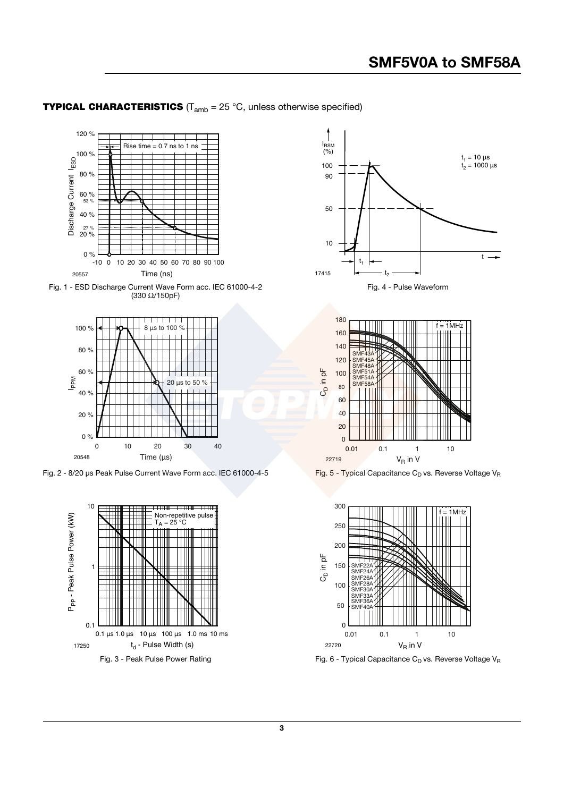#### **TYPICAL CHARACTERISTICS** (T<sub>amb</sub> = 25 °C, unless otherwise specified)







Fig. 2 - 8/20 μs Peak Pulse Current Wave Form acc. IEC 61000-4-5









 $C_D$  in pF

Fig. 5 - Typical Capacitance  $C_D$  vs. Reverse Voltage VR



Fig.  $6$  - Typical Capacitance C<sub>D</sub> vs. Reverse Voltage V<sub>R</sub>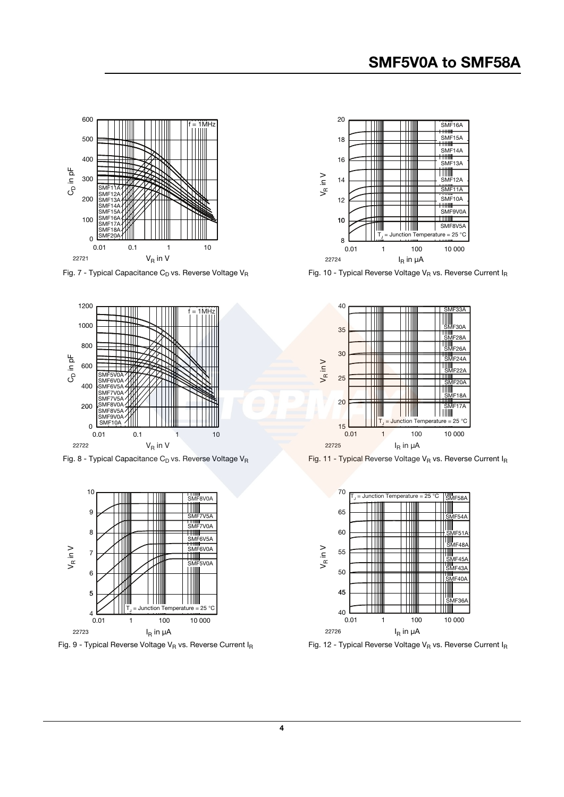

Fig. 7 - Typical Capacitance  $C_D$  vs. Reverse Voltage  $V_R$ 



Fig. 8 - Typical Capacitance C<sub>D</sub> vs. Reverse Voltage V<sub>R</sub>



Fig. 9 - Typical Reverse Voltage VR vs. Reverse Current IR



Fig. 10 - Typical Reverse Voltage VR vs. Reverse Current  $I_R$ 



Fig. 11 - Typical Reverse Voltage VR vs. Reverse Current  $I_R$ 



Fig. 12 - Typical Reverse Voltage VR vs. Reverse Current IR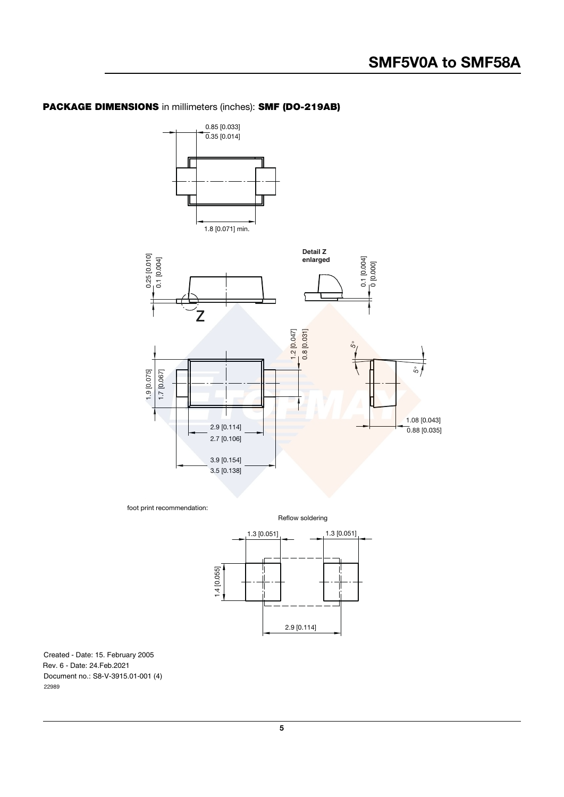# 0.85 [0.033]  $0.35$  [0.014]





foot print recommendation:

Reflow soldering



Rev. 6 - Date: 24.Feb.2021 Document no.: S8-V-3915.01-001 (4) Created - Date: 15. February 2005 22989

### **PACKAGE DIMENSIONS** in millimeters (inches): **SMF (DO-219AB)**